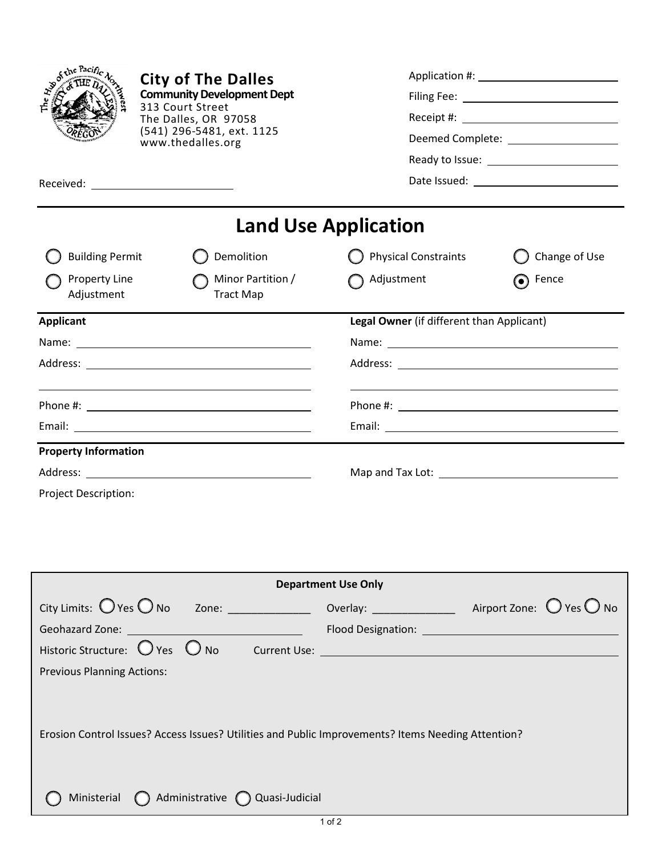|                             | <b>City of The Dalles</b><br><b>Community Development Dept</b><br>313 Court Street<br>The Dalles, OR 97058<br>(541) 296-5481, ext. 1125<br>www.thedalles.org<br>Received: ____________________________                        |                                           | Deemed Complete: <u>_____________________</u> |  |
|-----------------------------|-------------------------------------------------------------------------------------------------------------------------------------------------------------------------------------------------------------------------------|-------------------------------------------|-----------------------------------------------|--|
|                             |                                                                                                                                                                                                                               | <b>Land Use Application</b>               |                                               |  |
| <b>Building Permit</b>      | Demolition                                                                                                                                                                                                                    | <b>Physical Constraints</b>               | Change of Use                                 |  |
| Property Line<br>Adjustment | Minor Partition /<br><b>Tract Map</b>                                                                                                                                                                                         | Adjustment                                | Fence<br>$\left( \bullet \right)$             |  |
| <b>Applicant</b>            |                                                                                                                                                                                                                               | Legal Owner (if different than Applicant) |                                               |  |
|                             | Name: Name: Name: Name: Name: Name: Name: Name: Name: Name: Name: Name: Name: Name: Name: Name: Name: Name: Name: Name: Name: Name: Name: Name: Name: Name: Name: Name: Name: Name: Name: Name: Name: Name: Name: Name: Name: |                                           |                                               |  |
|                             |                                                                                                                                                                                                                               |                                           |                                               |  |
|                             |                                                                                                                                                                                                                               |                                           |                                               |  |
|                             |                                                                                                                                                                                                                               |                                           |                                               |  |
| <b>Property Information</b> |                                                                                                                                                                                                                               |                                           |                                               |  |
|                             |                                                                                                                                                                                                                               |                                           |                                               |  |
| Project Description:        |                                                                                                                                                                                                                               |                                           |                                               |  |
|                             |                                                                                                                                                                                                                               |                                           |                                               |  |

| <b>Department Use Only</b>                                                                         |  |  |  |  |  |  |  |  |
|----------------------------------------------------------------------------------------------------|--|--|--|--|--|--|--|--|
| $City$ Limits: $O$ Yes $O$ No Zone: $\sqrt{2\pi}$                                                  |  |  |  |  |  |  |  |  |
|                                                                                                    |  |  |  |  |  |  |  |  |
|                                                                                                    |  |  |  |  |  |  |  |  |
| <b>Previous Planning Actions:</b>                                                                  |  |  |  |  |  |  |  |  |
| Erosion Control Issues? Access Issues? Utilities and Public Improvements? Items Needing Attention? |  |  |  |  |  |  |  |  |
| Ministerial $\bigcap$ Administrative $\bigcap$ Quasi-Judicial                                      |  |  |  |  |  |  |  |  |